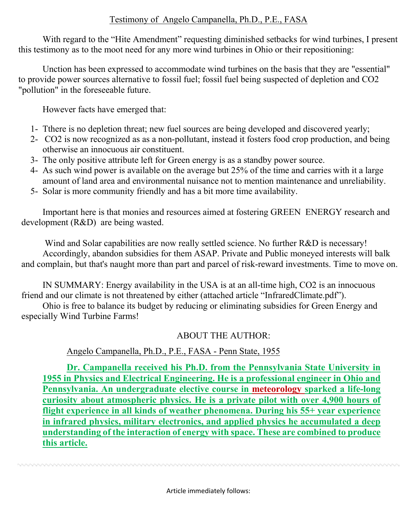# Testimony of Angelo Campanella, Ph.D., P.E., FASA

With regard to the "Hite Amendment" requesting diminished setbacks for wind turbines, I present this testimony as to the moot need for any more wind turbines in Ohio or their repositioning:

Unction has been expressed to accommodate wind turbines on the basis that they are "essential" to provide power sources alternative to fossil fuel; fossil fuel being suspected of depletion and CO2 "pollution" in the foreseeable future.

However facts have emerged that:

- 1- Tthere is no depletion threat; new fuel sources are being developed and discovered yearly;
- 2- CO2 is now recognized as as a non-pollutant, instead it fosters food crop production, and being otherwise an innocuous air constituent.
- 3- The only positive attribute left for Green energy is as a standby power source.
- 4- As such wind power is available on the average but 25% of the time and carries with it a large amount of land area and environmental nuisance not to mention maintenance and unreliability.
- 5- Solar is more community friendly and has a bit more time availability.

Important here is that monies and resources aimed at fostering GREEN ENERGY research and development (R&D) are being wasted.

Wind and Solar capabilities are now really settled science. No further R&D is necessary! Accordingly, abandon subsidies for them ASAP. Private and Public moneyed interests will balk and complain, but that's naught more than part and parcel of risk-reward investments. Time to move on.

IN SUMMARY: Energy availability in the USA is at an all-time high, CO2 is an innocuous friend and our climate is not threatened by either (attached article "InfraredClimate.pdf").

Ohio is free to balance its budget by reducing or eliminating subsidies for Green Energy and especially Wind Turbine Farms!

# ABOUT THE AUTHOR:

# Angelo Campanella, Ph.D., P.E., FASA - Penn State, 1955

**Dr. Campanella received his Ph.D. from the Pennsylvania State University in 1955 in Physics and Electrical Engineering. He is a professional engineer in Ohio and Pennsylvania. An undergraduate elective course in meteorology sparked a life-long curiosity about atmospheric physics. He is a private pilot with over 4,900 hours of flight experience in all kinds of weather phenomena. During his 55+ year experience in infrared physics, military electronics, and applied physics he accumulated a deep understanding of the interaction of energy with space. These are combined to produce this article.**

Article immediately follows: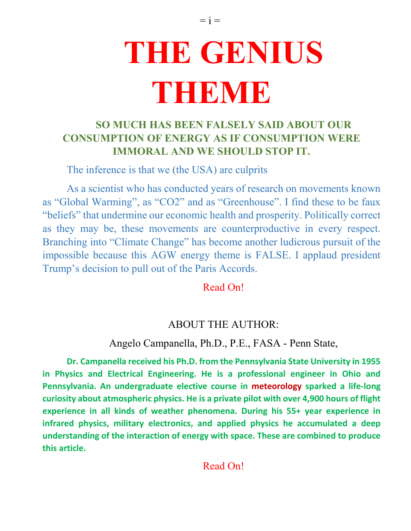# **THE GENIUS THEIBINIB**

# **SO MUCH HAS BEEN FALSELY SAID ABOUT OUR CONSUMPTION OF ENERGY AS IF CONSUMPTION WERE IMMORAL AND WE SHOULD STOP IT.**

The inference is that we (the USA) are culprits

As a scientist who has conducted years of research on movements known as "Global Warming", as "CO2" and as "Greenhouse". I find these to be faux "beliefs" that undermine our economic health and prosperity. Politically correct as they may be, these movements are counterproductive in every respect. Branching into "Climate Change" has become another ludicrous pursuit of the impossible because this AGW energy theme is FALSE. I applaud president Trump's decision to pull out of the Paris Accords.

Read On!

# ABOUT THE AUTHOR:

# Angelo Campanella, Ph.D., P.E., FASA - Penn State,

**Dr. Campanella received his Ph.D. from the Pennsylvania State University in 1955 in Physics and Electrical Engineering. He is a professional engineer in Ohio and Pennsylvania. An undergraduate elective course in meteorology sparked a life-long curiosity about atmospheric physics. He is a private pilot with over 4,900 hours of flight experience in all kinds of weather phenomena. During his 55+ year experience in infrared physics, military electronics, and applied physics he accumulated a deep understanding of the interaction of energy with space. These are combined to produce this article.**

Read On!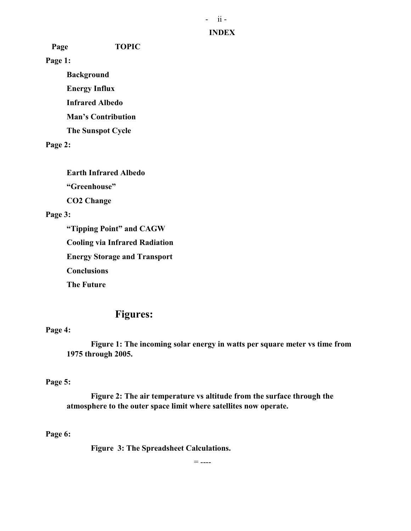#### **INDEX**

 **Page TOPIC**

**Page 1:**

**Background Energy Influx Infrared Albedo Man's Contribution The Sunspot Cycle**

**Page 2:**

**Earth Infrared Albedo "Greenhouse"**

**CO2 Change**

## **Page 3:**

**"Tipping Point" and CAGW Cooling via Infrared Radiation Energy Storage and Transport Conclusions The Future**

# **Figures:**

### **Page 4:**

**Figure 1: The incoming solar energy in watts per square meter vs time from 1975 through 2005.**

### **Page 5:**

**Figure 2: The air temperature vs altitude from the surface through the atmosphere to the outer space limit where satellites now operate.**

## **Page 6:**

**Figure 3: The Spreadsheet Calculations.**

 $=$  ----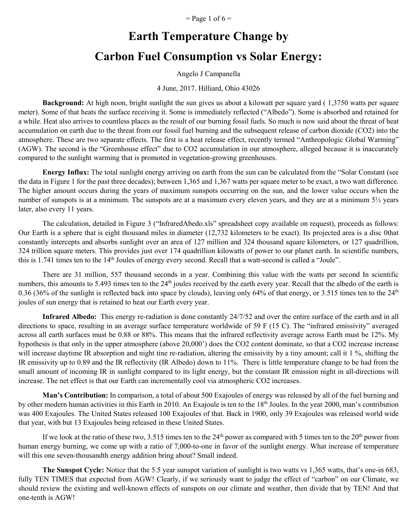$=$  Page 1 of 6  $=$ 

# **Earth Temperature Change by Carbon Fuel Consumption vs Solar Energy:**

Angelo J Campanella

#### 4 June, 2017. Hilliard, Ohio 43026

**Background:** At high noon, bright sunlight the sun gives us about a kilowatt per square yard ( 1,3750 watts per square meter). Some of that heats the surface receiving it. Some is immediately reflected ("Albedo"). Some is absorbed and retained for a while. Heat also arrives to countless places as the result of our burning fossil fuels. So much is now said about the threat of heat accumulation on earth due to the threat from our fossil fuel burning and the subsequent release of carbon dioxide (CO2) into the atmosphere. These are two separate effects. The first is a heat release effect, recently termed "Anthropologic Global Warming" (AGW). The second is the "Greenhouse effect" due to CO2 accumulation in our atmosphere, alleged because it is inaccurately compared to the sunlight warming that is promoted in vegetation-growing greenhouses.

**Energy Influx:** The total sunlight energy arriving on earth from the sun can be calculated from the "Solar Constant (see the data in Figure 1 for the past three decades); between 1,365 and 1,367 watts per square meter to be exact, a two watt difference. The higher amount occurs during the years of maximum sunspots occurring on the sun, and the lower value occurs when the number of sunspots is at a minimum. The sunspots are at a maximum every eleven years, and they are at a minimum 5½ years later, also every 11 years.

The calculation, detailed in Figure 3 ("InfraredAbedo.xls" spreadsheet copy available on request), proceeds as follows: Our Earth is a sphere that is eight thousand miles in diameter (12,732 kilometers to be exact). Its projected area is a disc 0that constantly intercepts and absorbs sunlight over an area of 127 million and 324 thousand square kilometers, or 127 quadrillion, 324 trillion square meters. This provides just over 174 quadrillion kilowatts of power to our planet earth. In scientific numbers, this is 1.741 times ten to the 14th Joules of energy every second. Recall that a watt-second is called a "Joule".

There are 31 million, 557 thousand seconds in a year. Combining this value with the watts per second In scientific numbers, this amounts to 5.493 times ten to the 24<sup>th</sup> joules received by the earth every year. Recall that the albedo of the earth is 0.36 (36% of the sunlight is reflected back into space by clouds), leaving only 64% of that energy, or 3.515 times ten to the  $24<sup>th</sup>$ joules of sun energy that is retained to heat our Earth every year.

**Infrared Albedo:** This energy re-radiation is done constantly 24/7/52 and over the entire surface of the earth and in all directions to space, resulting in an average surface temperature worldwide of 59 F (15 C). The "infrared emissivity" averaged across all earth surfaces must be 0.88 or 88%. This means that the infrared reflectivity average across Earth must be 12%. My hypothesis is that only in the upper atmosphere (above 20,000') does the CO2 content dominate, so that a CO2 increase increase will increase daytime IR absorption and night tine re-radiation, altering the emissivity by a tiny amount; call it 1 %, shifting the IR emissivity up to 0.89 and the IR reflectivity (IR Albedo) down to 11%. There is little temperature change to be had from the small amount of incoming IR in sunlight compared to its light energy, but the constant IR emission night in all-directions will increase. The net effect is that our Earth can incrementally cool via atmospheric CO2 increases.

**Man's Contribution:** In comparison, a total of about 500 Exajoules of energy was released by all of the fuel burning and by other modern human activities in this Earth in 2010. An Exajoule is ten to the 18<sup>th</sup> Joules. In the year 2000, man's contribution was 400 Exajoules. The United States released 100 Exajoules of that. Back in 1900, only 39 Exajoules was released world wide that year, with but 13 Exajoules being released in these United States.

If we look at the ratio of these two,  $3.515$  times ten to the  $24<sup>th</sup>$  power as compared with 5 times ten to the  $20<sup>th</sup>$  power from human energy burning, we come up with a ratio of 7,000-to-one in favor of the sunlight energy. What increase of temperature will this one seven-thousandth energy addition bring about? Small indeed.

**The Sunspot Cycle:** Notice that the 5.5 year sunspot variation of sunlight is two watts vs 1,365 watts, that's one-in 683, fully TEN TIMES that expected from AGW! Clearly, if we seriously want to judge the effect of "carbon" on our Climate, we should review the existing and well-known effects of sunspots on our climate and weather, then divide that by TEN! And that one-tenth is AGW!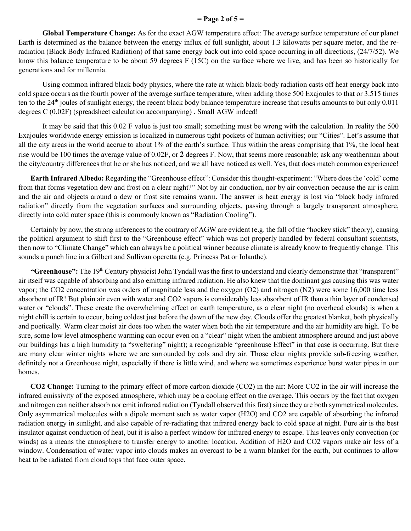#### **= Page 2 of 5 =**

**Global Temperature Change:** As for the exact AGW temperature effect: The average surface temperature of our planet Earth is determined as the balance between the energy influx of full sunlight, about 1.3 kilowatts per square meter, and the reradiation (Black Body Infrared Radiation) of that same energy back out into cold space occurring in all directions, (24/7/52). We know this balance temperature to be about 59 degrees F (15C) on the surface where we live, and has been so historically for generations and for millennia.

Using common infrared black body physics, where the rate at which black-body radiation casts off heat energy back into cold space occurs as the fourth power of the average surface temperature, when adding those 500 Exajoules to that or 3.515 times ten to the 24<sup>th</sup> joules of sunlight energy, the recent black body balance temperature increase that results amounts to but only 0.011 degrees C (0.02F) (spreadsheet calculation accompanying) . Small AGW indeed!

It may be said that this 0.02 F value is just too small; something must be wrong with the calculation. In reality the 500 Exajoules worldwide energy emission is localized in numerous tight pockets of human activities; our "Cities". Let's assume that all the city areas in the world accrue to about 1% of the earth's surface. Thus within the areas comprising that 1%, the local heat rise would be 100 times the average value of 0.02F, or **2** degrees F. Now, that seems more reasonable; ask any weatherman about the city/country differences that he or she has noticed, and we all have noticed as well. Yes, that does match common experience!

**Earth Infrared Albedo:** Regarding the "Greenhouse effect": Consider this thought-experiment: "Where does the 'cold' come from that forms vegetation dew and frost on a clear night?" Not by air conduction, nor by air convection because the air is calm and the air and objects around a dew or frost site remains warm. The answer is heat energy is lost via "black body infrared radiation" directly from the vegetation surfaces and surrounding objects, passing through a largely transparent atmosphere, directly into cold outer space (this is commonly known as "Radiation Cooling").

Certainly by now, the strong inferences to the contrary of AGW are evident (e.g. the fall of the "hockey stick" theory), causing the political argument to shift first to the "Greenhouse effect" which was not properly handled by federal consultant scientists, then now to "Climate Change" which can always be a political winner because climate is already know to frequently change. This sounds a punch line in a Gilbert and Sullivan operetta (e.g. Princess Pat or Iolanthe).

"Greenhouse": The 19<sup>th</sup> Century physicist John Tyndall was the first to understand and clearly demonstrate that "transparent" air itself was capable of absorbing and also emitting infrared radiation. He also knew that the dominant gas causing this was water vapor; the CO2 concentration was orders of magnitude less and the oxygen (O2) and nitrogen (N2) were some 16,000 time less absorbent of IR! But plain air even with water and CO2 vapors is considerably less absorbent of IR than a thin layer of condensed water or "clouds". These create the overwhelming effect on earth temperature, as a clear night (no overhead clouds) is when a night chill is certain to occur, being coldest just before the dawn of the new day. Clouds offer the greatest blanket, both physically and poetically. Warm clear moist air does too when the water when both the air temperature and the air humidity are high. To be sure, some low level atmospheric warming can occur even on a "clear" night when the ambient atmosphere around and just above our buildings has a high humidity (a "sweltering" night); a recognizable "greenhouse Effect" in that case is occurring. But there are many clear winter nights where we are surrounded by cols and dry air. Those clear nights provide sub-freezing weather, definitely not a Greenhouse night, especially if there is little wind, and where we sometimes experience burst water pipes in our homes.

**CO2 Change:** Turning to the primary effect of more carbon dioxide (CO2) in the air: More CO2 in the air will increase the infrared emissivity of the exposed atmosphere, which may be a cooling effect on the average. This occurs by the fact that oxygen and nitrogen can neither absorb nor emit infrared radiation (Tyndall observed this first) since they are both symmetrical molecules. Only asymmetrical molecules with a dipole moment such as water vapor (H2O) and CO2 are capable of absorbing the infrared radiation energy in sunlight, and also capable of re-radiating that infrared energy back to cold space at night. Pure air is the best insulator against conduction of heat, but it is also a perfect window for infrared energy to escape. This leaves only convection (or winds) as a means the atmosphere to transfer energy to another location. Addition of H2O and CO2 vapors make air less of a window. Condensation of water vapor into clouds makes an overcast to be a warm blanket for the earth, but continues to allow heat to be radiated from cloud tops that face outer space.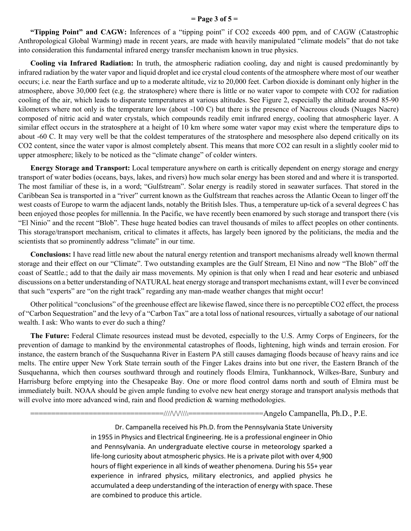#### **= Page 3 of 5 =**

**"Tipping Point" and CAGW:** Inferences of a "tipping point" if CO2 exceeds 400 ppm, and of CAGW (Catastrophic Anthropological Global Warming) made in recent years, are made with heavily manipulated "climate models" that do not take into consideration this fundamental infrared energy transfer mechanism known in true physics.

**Cooling via Infrared Radiation:** In truth, the atmospheric radiation cooling, day and night is caused predominantly by infrared radiation by the water vapor and liquid droplet and ice crystal cloud contents of the atmosphere where most of our weather occurs; i.e. near the Earth surface and up to a moderate altitude, viz to 20,000 feet. Carbon dioxide is dominant only higher in the atmosphere, above 30,000 feet (e.g. the stratosphere) where there is little or no water vapor to compete with CO2 for radiation cooling of the air, which leads to disparate temperatures at various altitudes. See Figure 2, especially the altitude around 85-90 kilometers where not only is the temperature low (about -100 C) but there is the presence of Nacreous clouds (Nuages Nacre) composed of nitric acid and water crystals, which compounds readily emit infrared energy, cooling that atmospheric layer. A similar effect occurs in the stratosphere at a height of 10 km where some water vapor may exist where the temperature dips to about -60 C. It may very well be that the coldest temperatures of the stratosphere and mesosphere also depend critically on its CO2 content, since the water vapor is almost completely absent. This means that more CO2 can result in a slightly cooler mid to upper atmosphere; likely to be noticed as the "climate change" of colder winters.

**Energy Storage and Transport:** Local temperature anywhere on earth is critically dependent on energy storage and energy transport of water bodies (oceans, bays, lakes, and rivers) how much solar energy has been stored and and where it is transported. The most familiar of these is, in a word; "Gulfstream". Solar energy is readily stored in seawater surfaces. That stored in the Caribbean Sea is transported in a "river" current known as the Gulfstream that reaches across the Atlantic Ocean to linger off the west coasts of Europe to warm the adjacent lands, notably the British Isles. Thus, a temperature up-tick of a several degrees C has been enjoyed those peoples for millennia. In the Pacific, we have recently been enamored by such storage and transport there (vis "El Ninio" and the recent "Blob". These huge heated bodies can travel thousands of miles to affect peoples on other continents. This storage/transport mechanism, critical to climates it affects, has largely been ignored by the politicians, the media and the scientists that so prominently address "climate" in our time.

**Conclusions:** I have read little new about the natural energy retention and transport mechanisms already well known thermal storage and their effect on our "Climate". Two outstanding examples are the Gulf Stream, El Nino and now "The Blob" off the coast of Seattle.; add to that the daily air mass movements. My opinion is that only when I read and hear esoteric and unbiased discussions on a better understanding of NATURAL heat energy storage and transport mechanisms extant, will I ever be convinced that such "experts" are "on the right track" regarding any man-made weather changes that might occur!

Other political "conclusions" of the greenhouse effect are likewise flawed, since there is no perceptible CO2 effect, the process of "Carbon Sequestration" and the levy of a "Carbon Tax" are a total loss of national resources, virtually a sabotage of our national wealth. I ask: Who wants to ever do such a thing?

**The Future:** Federal Climate resources instead must be devoted, especially to the U.S. Army Corps of Engineers, for the prevention of damage to mankind by the environmental catastrophes of floods, lightening, high winds and terrain erosion. For instance, the eastern branch of the Susquehanna River in Eastern PA still causes damaging floods because of heavy rains and ice melts. The entire upper New York State terrain south of the Finger Lakes drains into but one river, the Eastern Branch of the Susquehanna, which then courses southward through and routinely floods Elmira, Tunkhannock, Wilkes-Bare, Sunbury and Harrisburg before emptying into the Chesapeake Bay. One or more flood control dams north and south of Elmira must be immediately built. NOAA should be given ample funding to evolve new heat energy storage and transport analysis methods that will evolve into more advanced wind, rain and flood prediction & warning methodologies.

 $=$ /// $\land$ \\\\===================Angelo Campanella, Ph.D., P.E.

Dr. Campanella received his Ph.D. from the Pennsylvania State University in 1955 in Physics and Electrical Engineering. He is a professional engineer in Ohio and Pennsylvania. An undergraduate elective course in meteorology sparked a life-long curiosity about atmospheric physics. He is a private pilot with over 4,900 hours of flight experience in all kinds of weather phenomena. During his 55+ year experience in infrared physics, military electronics, and applied physics he accumulated a deep understanding of the interaction of energy with space. These are combined to produce this article.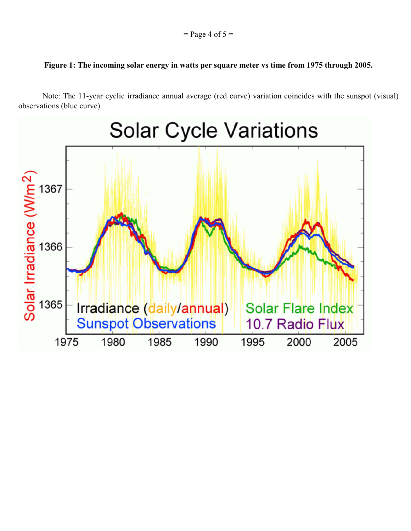#### **Figure 1: The incoming solar energy in watts per square meter vs time from 1975 through 2005.**

Note: The 11-year cyclic irradiance annual average (red curve) variation coincides with the sunspot (visual) observations (blue curve).

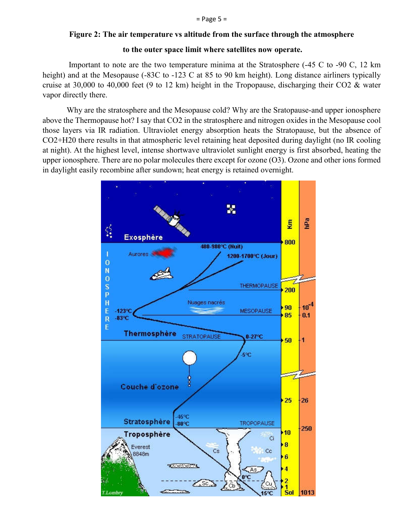#### **Figure 2: The air temperature vs altitude from the surface through the atmosphere**

#### **to the outer space limit where satellites now operate.**

Important to note are the two temperature minima at the Stratosphere (-45 C to -90 C, 12 km height) and at the Mesopause (-83C to -123 C at 85 to 90 km height). Long distance airliners typically cruise at 30,000 to 40,000 feet (9 to 12 km) height in the Tropopause, discharging their CO2 & water vapor directly there.

Why are the stratosphere and the Mesopause cold? Why are the Sratopause-and upper ionosphere above the Thermopause hot? I say that CO2 in the stratosphere and nitrogen oxides in the Mesopause cool those layers via IR radiation. Ultraviolet energy absorption heats the Stratopause, but the absence of CO2+H20 there results in that atmospheric level retaining heat deposited during daylight (no IR cooling at night). At the highest level, intense shortwave ultraviolet sunlight energy is first absorbed, heating the upper ionosphere. There are no polar molecules there except for ozone (O3). Ozone and other ions formed in daylight easily recombine after sundown; heat energy is retained overnight.